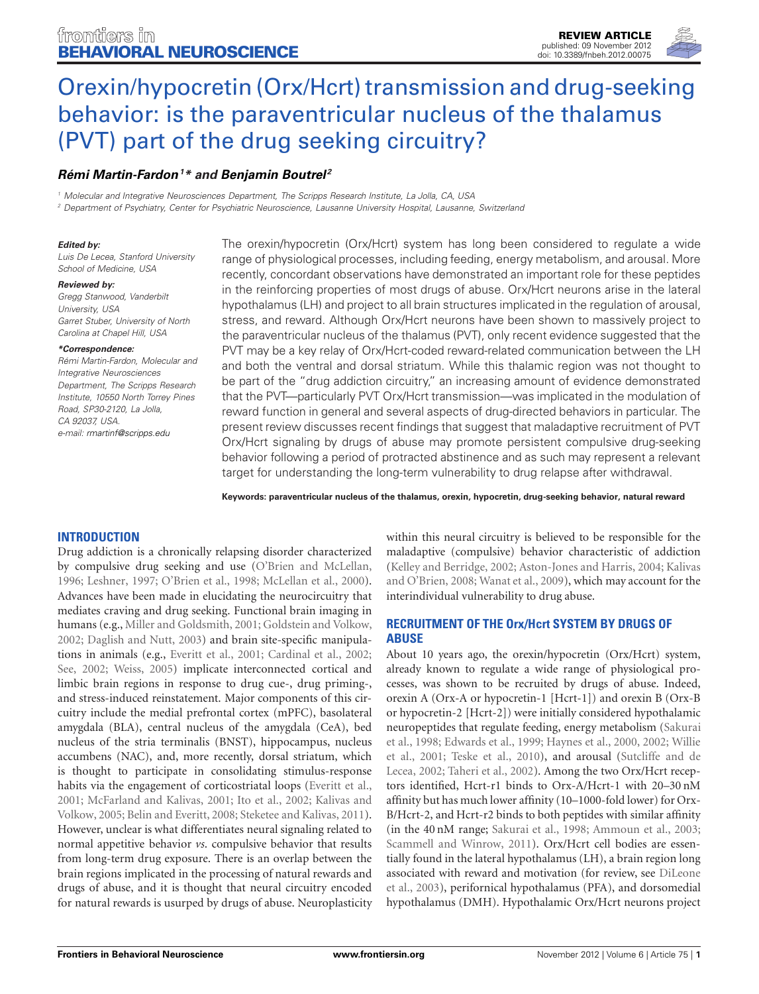



# [Orexin/hypocretin \(Orx/Hcrt\) transmission and drug-seeking](http://www.frontiersin.org/Behavioral_Neuroscience/10.3389/fnbeh.2012.00075/abstract) behavior: is the paraventricular nucleus of the thalamus (PVT) part of the drug seeking circuitry?

# *[Rémi Martin-Fardon1](http://www.frontiersin.org/Community/WhosWhoActivity.aspx?sname=RemiMartin-Fardon&UID=52294) \* and [Benjamin Boutrel](http://community.frontiersin.org/people/BenjaminBoutrel/47745) <sup>2</sup>*

*<sup>1</sup> Molecular and Integrative Neurosciences Department, The Scripps Research Institute, La Jolla, CA, USA*

*<sup>2</sup> Department of Psychiatry, Center for Psychiatric Neuroscience, Lausanne University Hospital, Lausanne, Switzerland*

#### *Edited by:*

*Luis De Lecea, Stanford University School of Medicine, USA*

#### *Reviewed by:*

*Gregg Stanwood, Vanderbilt University, USA Garret Stuber, University of North Carolina at Chapel Hill, USA*

#### *\*Correspondence:*

*Rémi Martin-Fardon, Molecular and Integrative Neurosciences Department, The Scripps Research Institute, 10550 North Torrey Pines Road, SP30-2120, La Jolla, CA 92037, USA. e-mail: [rmartinf@scripps.edu](mailto:rmartinf@scripps.edu)*

The orexin/hypocretin (Orx/Hcrt) system has long been considered to regulate a wide range of physiological processes, including feeding, energy metabolism, and arousal. More recently, concordant observations have demonstrated an important role for these peptides in the reinforcing properties of most drugs of abuse. Orx/Hcrt neurons arise in the lateral hypothalamus (LH) and project to all brain structures implicated in the regulation of arousal, stress, and reward. Although Orx/Hcrt neurons have been shown to massively project to the paraventricular nucleus of the thalamus (PVT), only recent evidence suggested that the PVT may be a key relay of Orx/Hcrt-coded reward-related communication between the LH and both the ventral and dorsal striatum. While this thalamic region was not thought to be part of the "drug addiction circuitry," an increasing amount of evidence demonstrated that the PVT—particularly PVT Orx/Hcrt transmission—was implicated in the modulation of reward function in general and several aspects of drug-directed behaviors in particular. The present review discusses recent findings that suggest that maladaptive recruitment of PVT Orx/Hcrt signaling by drugs of abuse may promote persistent compulsive drug-seeking behavior following a period of protracted abstinence and as such may represent a relevant target for understanding the long-term vulnerability to drug relapse after withdrawal.

**Keywords: paraventricular nucleus of the thalamus, orexin, hypocretin, drug-seeking behavior, natural reward**

# **INTRODUCTION**

Drug addiction is a chronically relapsing disorder characterized by compulsive drug seeking and use [\(O'Brien and McLellan,](#page-5-0) [1996](#page-5-0); [Leshner](#page-4-0), [1997;](#page-4-0) [O'Brien et al.](#page-5-1), [1998](#page-5-1); [McLellan et al., 2000](#page-5-2)). Advances have been made in elucidating the neurocircuitry that mediates craving and drug seeking. Functional brain imaging in humans (e.g., [Miller and Goldsmith](#page-5-3), [2001](#page-5-3); [Goldstein and Volkow,](#page-4-1) [2002](#page-4-1); [Daglish and Nutt](#page-4-2), [2003](#page-4-2)) and brain site-specific manipulations in animals (e.g., [Everitt et al.](#page-4-3), [2001;](#page-4-3) [Cardinal et al., 2002;](#page-4-4) [See, 2002;](#page-5-4) [Weiss, 2005\)](#page-5-5) implicate interconnected cortical and limbic brain regions in response to drug cue-, drug priming-, and stress-induced reinstatement. Major components of this circuitry include the medial prefrontal cortex (mPFC), basolateral amygdala (BLA), central nucleus of the amygdala (CeA), bed nucleus of the stria terminalis (BNST), hippocampus, nucleus accumbens (NAC), and, more recently, dorsal striatum, which is thought to participate in consolidating stimulus-response habits via the engagement of corticostriatal loops [\(Everitt et al.,](#page-4-3) [2001](#page-4-3); [McFarland and Kalivas](#page-5-6)[,](#page-4-6) [2001](#page-5-6)[;](#page-4-6) [Ito et al.](#page-4-5)[,](#page-4-6) [2002](#page-4-5)[;](#page-4-6) Kalivas and Volkow, [2005;](#page-4-6) [Belin and Everitt](#page-3-0), [2008](#page-3-0); [Steketee and Kalivas, 2011](#page-5-7)). However, unclear is what differentiates neural signaling related to normal appetitive behavior *vs*. compulsive behavior that results from long-term drug exposure. There is an overlap between the brain regions implicated in the processing of natural rewards and drugs of abuse, and it is thought that neural circuitry encoded for natural rewards is usurped by drugs of abuse. Neuroplasticity

within this neural circuitry is believed to be responsible for the maladaptive (compulsive) behavior characteristic of addiction [\(Kelley and Berridge](#page-4-7)[,](#page-4-8) [2002](#page-4-7)[;](#page-4-8) [Aston-Jones and Harris](#page-3-1)[,](#page-4-8) [2004;](#page-3-1) Kalivas and O'Brien, [2008;](#page-4-8) [Wanat et al.](#page-5-8), [2009](#page-5-8)), which may account for the interindividual vulnerability to drug abuse.

# **RECRUITMENT OF THE Orx/Hcrt SYSTEM BY DRUGS OF ABUSE**

About 10 years ago, the orexin/hypocretin (Orx/Hcrt) system, already known to regulate a wide range of physiological processes, was shown to be recruited by drugs of abuse. Indeed, orexin A (Orx-A or hypocretin-1 [Hcrt-1]) and orexin B (Orx-B or hypocretin-2 [Hcrt-2]) were initially considered hypothalamic neur[opeptides that regulate feeding, energy metabolism \(](#page-5-9)Sakurai et al.[,](#page-5-10) [1998](#page-5-9)[;](#page-5-10) [Edwards et al., 1999](#page-4-9)[;](#page-5-10) [Haynes et al.](#page-4-10)[,](#page-5-10) [2000](#page-4-10)[,](#page-5-10) [2002;](#page-4-11) Willie et al.[,](#page-5-12) [2001](#page-5-10)[;](#page-5-12) [Teske et al.](#page-5-11)[,](#page-5-12) [2010](#page-5-11)[\), and arousal \(](#page-5-12)Sutcliffe and de Lecea, [2002;](#page-5-12) [Taheri et al., 2002\)](#page-5-13). Among the two Orx/Hcrt receptors identified, Hcrt-r1 binds to Orx-A/Hcrt-1 with 20–30 nM affinity but has much lower affinity (10–1000-fold lower) for Orx-B/Hcrt-2, and Hcrt-r2 binds to both peptides with similar affinity (in the 40 nM range; [Sakurai et al., 1998](#page-5-9); [Ammoun et al.](#page-3-2), [2003;](#page-3-2) [Scammell and Winrow](#page-5-14), [2011](#page-5-14)). Orx/Hcrt cell bodies are essentially found in the lateral hypothalamus (LH), a brain region long asso[ciated with reward and motivation \(for review, see](#page-4-12) DiLeone et al., [2003\)](#page-4-12), perifornical hypothalamus (PFA), and dorsomedial hypothalamus (DMH). Hypothalamic Orx/Hcrt neurons project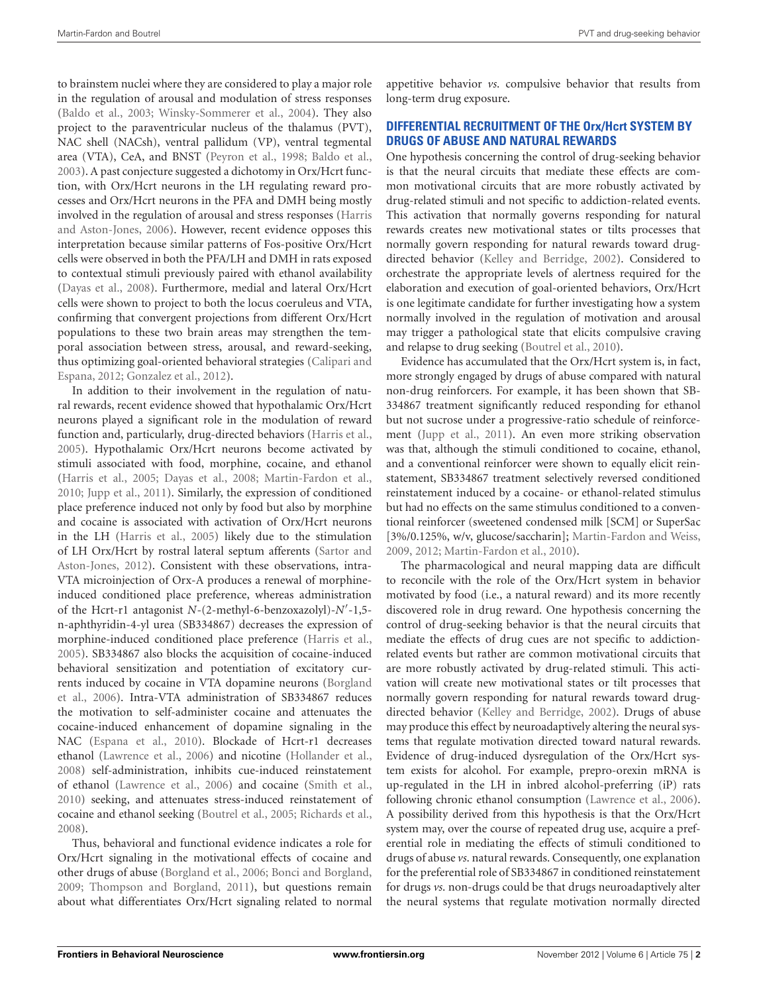to brainstem nuclei where they are considered to play a major role in the regulation of arousal and modulation of stress responses [\(Baldo et al.](#page-3-3), [2003](#page-3-3); [Winsky-Sommerer et al., 2004](#page-5-15)). They also project to the paraventricular nucleus of the thalamus (PVT), NAC shell (NACsh), ventral pallidum (VP), ventral tegmental area (VTA), CeA, and BNST [\(Peyron et al., 1998;](#page-5-16) [Baldo et al.,](#page-3-3) [2003](#page-3-3)). A past conjecture suggested a dichotomy in Orx/Hcrt function, with Orx/Hcrt neurons in the LH regulating reward processes and Orx/Hcrt neurons in the PFA and DMH being mostly involved in the r[egulation of arousal and stress responses \(](#page-4-13)Harris and Aston-Jones, [2006\)](#page-4-13). However, recent evidence opposes this interpretation because similar patterns of Fos-positive Orx/Hcrt cells were observed in both the PFA/LH and DMH in rats exposed to contextual stimuli previously paired with ethanol availability [\(Dayas et al., 2008\)](#page-4-14). Furthermore, medial and lateral Orx/Hcrt cells were shown to project to both the locus coeruleus and VTA, confirming that convergent projections from different Orx/Hcrt populations to these two brain areas may strengthen the temporal association between stress, arousal, and reward-seeking, thus o[ptimizing goal-oriented behavioral strategies \(](#page-4-15)Calipari and Espana, [2012;](#page-4-15) [Gonzalez et al., 2012](#page-4-16)).

In addition to their involvement in the regulation of natural rewards, recent evidence showed that hypothalamic Orx/Hcrt neurons played a significant role in the modulation of reward function and, particularly, drug-directed behaviors [\(Harris et al.,](#page-4-17) [2005](#page-4-17)). Hypothalamic Orx/Hcrt neurons become activated by stimuli associated with food, morphine, cocaine, and ethanol [\(Harris et al., 2005](#page-4-17); [Dayas et al.](#page-4-14), [2008;](#page-4-14) [Martin-Fardon et al.,](#page-5-17) [2010](#page-5-17); [Jupp et al., 2011\)](#page-4-18). Similarly, the expression of conditioned place preference induced not only by food but also by morphine and cocaine is associated with activation of Orx/Hcrt neurons in the LH [\(Harris et al.](#page-4-17), [2005](#page-4-17)) likely due to the stimulation of LH Orx/[Hcrt by rostral lateral septum afferents \(](#page-5-18)Sartor and Aston-Jones, [2012\)](#page-5-18). Consistent with these observations, intra-VTA microinjection of Orx-A produces a renewal of morphineinduced conditioned place preference, whereas administration of the Hcrt-r1 antagonist *N*-(2-methyl-6-benzoxazolyl)-*N*- -1,5 n-aphthyridin-4-yl urea (SB334867) decreases the expression of morphine-induced conditioned place preference [\(Harris et al.,](#page-4-17) [2005](#page-4-17)). SB334867 also blocks the acquisition of cocaine-induced behavioral sensitization and potentiation of excitatory currents [induced by cocaine in VTA dopamine neurons \(](#page-3-4)Borgland et al., [2006](#page-3-4)). Intra-VTA administration of SB334867 reduces the motivation to self-administer cocaine and attenuates the cocaine-induced enhancement of dopamine signaling in the NAC [\(Espana et al., 2010](#page-4-19)). Blockade of Hcrt-r1 decreases ethanol [\(Lawrence et al.](#page-4-20), [2006](#page-4-20)) and nicotine [\(Hollander et al.,](#page-4-21) [2008](#page-4-21)) self-administration, inhibits cue-induced reinstatement of ethanol [\(Lawrence et al.](#page-4-20), [2006](#page-4-20)) and cocaine [\(Smith et al.,](#page-5-19) [2010](#page-5-19)) seeking, and attenuates stress-induced reinstatement of cocaine and ethanol seeking [\(Boutrel et al., 2005;](#page-3-5) [Richards et al.,](#page-5-20) [2008](#page-5-20)).

Thus, behavioral and functional evidence indicates a role for Orx/Hcrt signaling in the motivational effects of cocaine and other drugs of abuse [\(Borgland et al.](#page-3-4), [2006](#page-3-4); [Bonci and Borgland,](#page-3-6) [2009](#page-3-6); [Thompson and Borgland, 2011](#page-5-21)), but questions remain about what differentiates Orx/Hcrt signaling related to normal

appetitive behavior *vs*. compulsive behavior that results from long-term drug exposure.

### **DIFFERENTIAL RECRUITMENT OF THE Orx/Hcrt SYSTEM BY DRUGS OF ABUSE AND NATURAL REWARDS**

One hypothesis concerning the control of drug-seeking behavior is that the neural circuits that mediate these effects are common motivational circuits that are more robustly activated by drug-related stimuli and not specific to addiction-related events. This activation that normally governs responding for natural rewards creates new motivational states or tilts processes that normally govern responding for natural rewards toward drugdirected behavior [\(Kelley and Berridge, 2002\)](#page-4-7). Considered to orchestrate the appropriate levels of alertness required for the elaboration and execution of goal-oriented behaviors, Orx/Hcrt is one legitimate candidate for further investigating how a system normally involved in the regulation of motivation and arousal may trigger a pathological state that elicits compulsive craving and relapse to drug seeking [\(Boutrel et al., 2010](#page-3-7)).

Evidence has accumulated that the Orx/Hcrt system is, in fact, more strongly engaged by drugs of abuse compared with natural non-drug reinforcers. For example, it has been shown that SB-334867 treatment significantly reduced responding for ethanol but not sucrose under a progressive-ratio schedule of reinforcement [\(Jupp et al., 2011\)](#page-4-18). An even more striking observation was that, although the stimuli conditioned to cocaine, ethanol, and a conventional reinforcer were shown to equally elicit reinstatement, SB334867 treatment selectively reversed conditioned reinstatement induced by a cocaine- or ethanol-related stimulus but had no effects on the same stimulus conditioned to a conventional reinforcer (sweetened condensed milk [SCM] or SuperSac [3%/0.125%, w/v, glucose/saccharin]; [Martin-Fardon and Weiss](#page-4-22), [2009](#page-4-22), [2012](#page-4-23); [Martin-Fardon et al.](#page-5-17), [2010\)](#page-5-17).

The pharmacological and neural mapping data are difficult to reconcile with the role of the Orx/Hcrt system in behavior motivated by food (i.e., a natural reward) and its more recently discovered role in drug reward. One hypothesis concerning the control of drug-seeking behavior is that the neural circuits that mediate the effects of drug cues are not specific to addictionrelated events but rather are common motivational circuits that are more robustly activated by drug-related stimuli. This activation will create new motivational states or tilt processes that normally govern responding for natural rewards toward drugdirected behavior [\(Kelley and Berridge, 2002](#page-4-7)). Drugs of abuse may produce this effect by neuroadaptively altering the neural systems that regulate motivation directed toward natural rewards. Evidence of drug-induced dysregulation of the Orx/Hcrt system exists for alcohol. For example, prepro-orexin mRNA is up-regulated in the LH in inbred alcohol-preferring (iP) rats following chronic ethanol consumption [\(Lawrence et al.](#page-4-20), [2006\)](#page-4-20). A possibility derived from this hypothesis is that the Orx/Hcrt system may, over the course of repeated drug use, acquire a preferential role in mediating the effects of stimuli conditioned to drugs of abuse *vs*. natural rewards. Consequently, one explanation for the preferential role of SB334867 in conditioned reinstatement for drugs *vs*. non-drugs could be that drugs neuroadaptively alter the neural systems that regulate motivation normally directed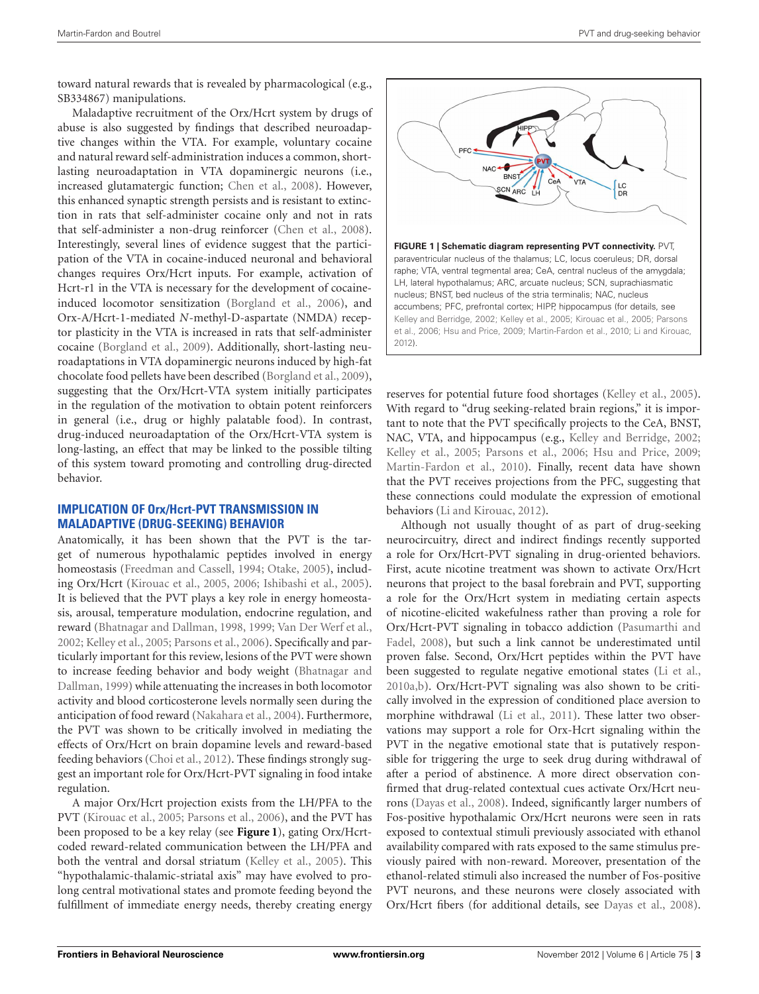toward natural rewards that is revealed by pharmacological (e.g., SB334867) manipulations.

Maladaptive recruitment of the Orx/Hcrt system by drugs of abuse is also suggested by findings that described neuroadaptive changes within the VTA. For example, voluntary cocaine and natural reward self-administration induces a common, shortlasting neuroadaptation in VTA dopaminergic neurons (i.e., increased glutamatergic function; [Chen et al., 2008\)](#page-4-24). However, this enhanced synaptic strength persists and is resistant to extinction in rats that self-administer cocaine only and not in rats that self-administer a non-drug reinforcer [\(Chen et al., 2008](#page-4-24)). Interestingly, several lines of evidence suggest that the participation of the VTA in cocaine-induced neuronal and behavioral changes requires Orx/Hcrt inputs. For example, activation of Hcrt-r1 in the VTA is necessary for the development of cocaineinduced locomotor sensitization [\(Borgland et al., 2006\)](#page-3-4), and Orx-A/Hcrt-1-mediated *N*-methyl-D-aspartate (NMDA) receptor plasticity in the VTA is increased in rats that self-administer cocaine [\(Borgland et al., 2009\)](#page-3-8). Additionally, short-lasting neuroadaptations in VTA dopaminergic neurons induced by high-fat chocolate food pellets have been described [\(Borgland et al., 2009](#page-3-8)), suggesting that the Orx/Hcrt-VTA system initially participates in the regulation of the motivation to obtain potent reinforcers in general (i.e., drug or highly palatable food). In contrast, drug-induced neuroadaptation of the Orx/Hcrt-VTA system is long-lasting, an effect that may be linked to the possible tilting of this system toward promoting and controlling drug-directed behavior.

# **IMPLICATION OF Orx/Hcrt-PVT TRANSMISSION IN MALADAPTIVE (DRUG-SEEKING) BEHAVIOR**

Anatomically, it has been shown that the PVT is the target of numerous hypothalamic peptides involved in energy homeostasis [\(Freedman and Cassell, 1994](#page-4-25); [Otake, 2005\)](#page-5-22), including Orx/Hcrt [\(Kirouac et al., 2005,](#page-4-26) [2006;](#page-4-27) [Ishibashi et al., 2005](#page-4-28)). It is believed that the PVT plays a key role in energy homeostasis, arousal, temperature modulation, endocrine regulation, and reward [\(Bhatnagar and Dallman](#page-3-9), [1998,](#page-3-9) [1999](#page-3-10); [Van Der Werf et al.,](#page-5-23) [2002](#page-5-23); [Kelley et al.](#page-4-29), [2005](#page-4-29); [Parsons et al.](#page-5-24), [2006\)](#page-5-24). Specifically and particularly important for this review, lesions of the PVT were shown to incre[ase feeding behavior and body weight \(](#page-3-10)Bhatnagar and Dallman, [1999\)](#page-3-10) while attenuating the increases in both locomotor activity and blood corticosterone levels normally seen during the anticipation of food reward [\(Nakahara et al.](#page-5-25), [2004\)](#page-5-25). Furthermore, the PVT was shown to be critically involved in mediating the effects of Orx/Hcrt on brain dopamine levels and reward-based feeding behaviors [\(Choi et al., 2012](#page-4-30)). These findings strongly suggest an important role for Orx/Hcrt-PVT signaling in food intake regulation.

A major Orx/Hcrt projection exists from the LH/PFA to the PVT [\(Kirouac et al.](#page-4-26), [2005](#page-4-26); [Parsons et al.](#page-5-24), [2006](#page-5-24)), and the PVT has been proposed to be a key relay (see **[Figure 1](#page-2-0)**), gating Orx/Hcrtcoded reward-related communication between the LH/PFA and both the ventral and dorsal striatum [\(Kelley et al., 2005\)](#page-4-29). This "hypothalamic-thalamic-striatal axis" may have evolved to prolong central motivational states and promote feeding beyond the fulfillment of immediate energy needs, thereby creating energy

<span id="page-2-0"></span>

reserves for potential future food shortages [\(Kelley et al., 2005](#page-4-29)). With regard to "drug seeking-related brain regions," it is important to note that the PVT specifically projects to the CeA, BNST, NAC, VTA, and hippocampus (e.g., [Kelley and Berridge, 2002;](#page-4-7) [Kelley et al.](#page-4-29), [2005;](#page-4-29) [Parsons et al., 2006](#page-5-24); [Hsu and Price, 2009;](#page-4-31) [Martin-Fardon et al., 2010](#page-5-17)). Finally, recent data have shown that the PVT receives projections from the PFC, suggesting that these connections could modulate the expression of emotional behaviors [\(Li and Kirouac](#page-4-32), [2012\)](#page-4-32).

Although not usually thought of as part of drug-seeking neurocircuitry, direct and indirect findings recently supported a role for Orx/Hcrt-PVT signaling in drug-oriented behaviors. First, acute nicotine treatment was shown to activate Orx/Hcrt neurons that project to the basal forebrain and PVT, supporting a role for the Orx/Hcrt system in mediating certain aspects of nicotine-elicited wakefulness rather than proving a role for Orx/[Hcrt-PVT](#page-5-26) [signaling](#page-5-26) [in](#page-5-26) [tobacco](#page-5-26) [addiction](#page-5-26) [\(](#page-5-26)Pasumarthi and Fadel, [2008](#page-5-26)), but such a link cannot be underestimated until proven false. Second, Orx/Hcrt peptides within the PVT have been suggested to regulate negative emotional states [\(Li et al.,](#page-4-33) [2010a](#page-4-33)[,b\)](#page-4-34). Orx/Hcrt-PVT signaling was also shown to be critically involved in the expression of conditioned place aversion to morphine withdrawal [\(Li et al.](#page-4-35), [2011](#page-4-35)). These latter two observations may support a role for Orx-Hcrt signaling within the PVT in the negative emotional state that is putatively responsible for triggering the urge to seek drug during withdrawal of after a period of abstinence. A more direct observation confirmed that drug-related contextual cues activate Orx/Hcrt neurons [\(Dayas et al., 2008\)](#page-4-14). Indeed, significantly larger numbers of Fos-positive hypothalamic Orx/Hcrt neurons were seen in rats exposed to contextual stimuli previously associated with ethanol availability compared with rats exposed to the same stimulus previously paired with non-reward. Moreover, presentation of the ethanol-related stimuli also increased the number of Fos-positive PVT neurons, and these neurons were closely associated with Orx/Hcrt fibers (for additional details, see [Dayas et al., 2008](#page-4-14)).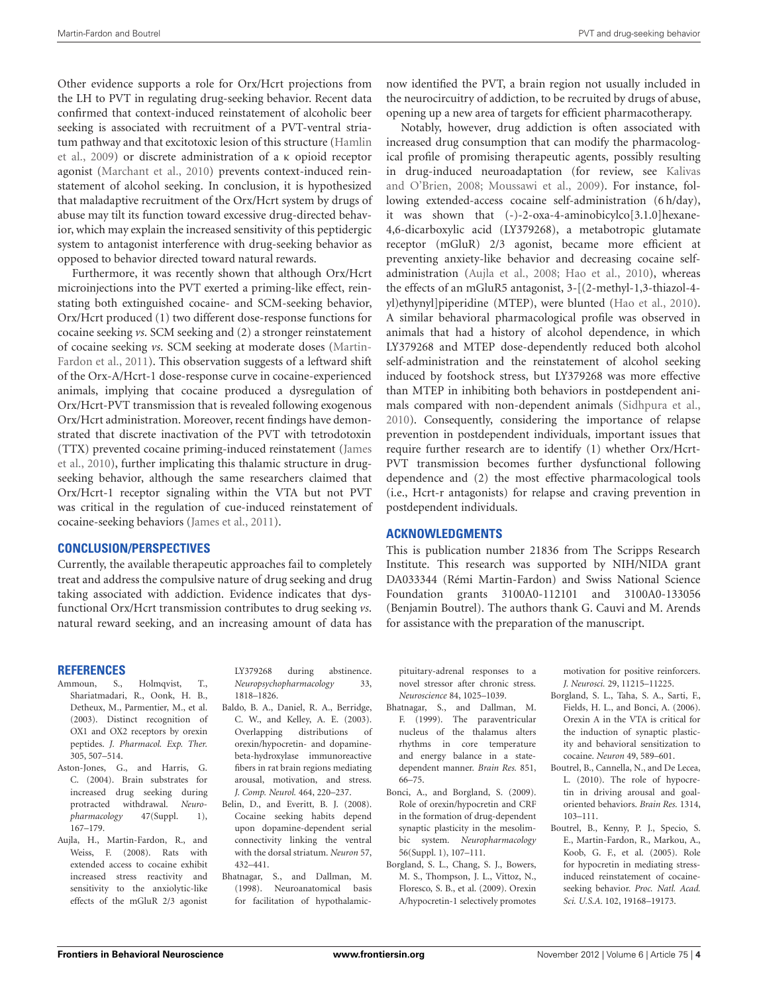Other evidence supports a role for Orx/Hcrt projections from the LH to PVT in regulating drug-seeking behavior. Recent data confirmed that context-induced reinstatement of alcoholic beer seeking is associated with recruitment of a PVT-ventral striatum [pathway and that excitotoxic lesion of this structure \(](#page-4-36)Hamlin et al., [2009](#page-4-36)) or discrete administration of a κ opioid receptor agonist [\(Marchant et al.](#page-4-37), [2010](#page-4-37)) prevents context-induced reinstatement of alcohol seeking. In conclusion, it is hypothesized that maladaptive recruitment of the Orx/Hcrt system by drugs of abuse may tilt its function toward excessive drug-directed behavior, which may explain the increased sensitivity of this peptidergic system to antagonist interference with drug-seeking behavior as opposed to behavior directed toward natural rewards.

Furthermore, it was recently shown that although Orx/Hcrt microinjections into the PVT exerted a priming-like effect, reinstating both extinguished cocaine- and SCM-seeking behavior, Orx/Hcrt produced (1) two different dose-response functions for cocaine seeking *vs*. SCM seeking and (2) a stronger reinstatement of cocaine seeking *vs*[. SCM seeking at moderate doses \(](#page-4-38)Martin-Fardon et al., [2011](#page-4-38)). This observation suggests of a leftward shift of the Orx-A/Hcrt-1 dose-response curve in cocaine-experienced animals, implying that cocaine produced a dysregulation of Orx/Hcrt-PVT transmission that is revealed following exogenous Orx/Hcrt administration. Moreover, recent findings have demonstrated that discrete inactivation of the PVT with tetrodotoxin (TT[X\)](#page-4-39) [prevented](#page-4-39) [cocaine](#page-4-39) [priming-induced](#page-4-39) [reinstatement](#page-4-39) [\(](#page-4-39)James et al., [2010\)](#page-4-39), further implicating this thalamic structure in drugseeking behavior, although the same researchers claimed that Orx/Hcrt-1 receptor signaling within the VTA but not PVT was critical in the regulation of cue-induced reinstatement of cocaine-seeking behaviors [\(James et al.](#page-4-40), [2011\)](#page-4-40).

## **CONCLUSION/PERSPECTIVES**

Currently, the available therapeutic approaches fail to completely treat and address the compulsive nature of drug seeking and drug taking associated with addiction. Evidence indicates that dysfunctional Orx/Hcrt transmission contributes to drug seeking *vs*. natural reward seeking, and an increasing amount of data has now identified the PVT, a brain region not usually included in the neurocircuitry of addiction, to be recruited by drugs of abuse, opening up a new area of targets for efficient pharmacotherapy.

Notably, however, drug addiction is often associated with increased drug consumption that can modify the pharmacological profile of promising therapeutic agents, possibly resulting in drug-in[duced neuroadaptation \(for review, see](#page-4-8) Kalivas and O'Brien, [2008;](#page-4-8) [Moussawi et al., 2009\)](#page-5-27). For instance, following extended-access cocaine self-administration (6 h/day), it was shown that (-)-2-oxa-4-aminobicylco[3.1.0]hexane-4,6-dicarboxylic acid (LY379268), a metabotropic glutamate receptor (mGluR) 2/3 agonist, became more efficient at preventing anxiety-like behavior and decreasing cocaine selfadministration [\(Aujla et al.](#page-3-11), [2008;](#page-3-11) [Hao et al.](#page-4-41), [2010](#page-4-41)), whereas the effects of an mGluR5 antagonist, 3-[(2-methyl-1,3-thiazol-4 yl)ethynyl]piperidine (MTEP), were blunted [\(Hao et al.](#page-4-41), [2010\)](#page-4-41). A similar behavioral pharmacological profile was observed in animals that had a history of alcohol dependence, in which LY379268 and MTEP dose-dependently reduced both alcohol self-administration and the reinstatement of alcohol seeking induced by footshock stress, but LY379268 was more effective than MTEP in inhibiting both behaviors in postdependent animals compared with non-dependent animals [\(Sidhpura et al.,](#page-5-28) [2010](#page-5-28)). Consequently, considering the importance of relapse prevention in postdependent individuals, important issues that require further research are to identify (1) whether Orx/Hcrt-PVT transmission becomes further dysfunctional following dependence and (2) the most effective pharmacological tools (i.e., Hcrt-r antagonists) for relapse and craving prevention in postdependent individuals.

#### **ACKNOWLEDGMENTS**

This is publication number 21836 from The Scripps Research Institute. This research was supported by NIH/NIDA grant DA033344 (Rémi Martin-Fardon) and Swiss National Science Foundation grants 3100A0-112101 and 3100A0-133056 (Benjamin Boutrel). The authors thank G. Cauvi and M. Arends for assistance with the preparation of the manuscript.

#### **REFERENCES**

- <span id="page-3-2"></span>Ammoun, S., Holmqvist, T., Shariatmadari, R., Oonk, H. B., Detheux, M., Parmentier, M., et al. (2003). Distinct recognition of OX1 and OX2 receptors by orexin peptides. *J. Pharmacol. Exp. Ther.* 305, 507–514.
- <span id="page-3-1"></span>Aston-Jones, G., and Harris, G. C. (2004). Brain substrates for increased drug seeking during protracted withdrawal. *Neuropharmacology* 47(Suppl. 1), 167–179.
- <span id="page-3-11"></span>Aujla, H., Martin-Fardon, R., and Weiss, F. (2008). Rats with extended access to cocaine exhibit increased stress reactivity and sensitivity to the anxiolytic-like effects of the mGluR 2/3 agonist

LY379268 during abstinence. *Neuropsychopharmacology* 33, 1818–1826.

- <span id="page-3-3"></span>Baldo, B. A., Daniel, R. A., Berridge, C. W., and Kelley, A. E. (2003). Overlapping distributions of orexin/hypocretin- and dopaminebeta-hydroxylase immunoreactive fibers in rat brain regions mediating arousal, motivation, and stress. *J. Comp. Neurol.* 464, 220–237.
- <span id="page-3-0"></span>Belin, D., and Everitt, B. J. (2008). Cocaine seeking habits depend upon dopamine-dependent serial connectivity linking the ventral with the dorsal striatum. *Neuron* 57, 432–441.
- <span id="page-3-9"></span>Bhatnagar, S., and Dallman, M. (1998). Neuroanatomical basis for facilitation of hypothalamic-

pituitary-adrenal responses to a novel stressor after chronic stress. *Neuroscience* 84, 1025–1039.

- <span id="page-3-10"></span>Bhatnagar, S., and Dallman, M. F. (1999). The paraventricular nucleus of the thalamus alters rhythms in core temperature and energy balance in a statedependent manner. *Brain Res.* 851, 66–75.
- <span id="page-3-6"></span>Bonci, A., and Borgland, S. (2009). Role of orexin/hypocretin and CRF in the formation of drug-dependent synaptic plasticity in the mesolimbic system. *Neuropharmacology* 56(Suppl. 1), 107–111.
- <span id="page-3-8"></span>Borgland, S. L., Chang, S. J., Bowers, M. S., Thompson, J. L., Vittoz, N., Floresco, S. B., et al. (2009). Orexin A/hypocretin-1 selectively promotes

motivation for positive reinforcers. *J. Neurosci.* 29, 11215–11225.

- <span id="page-3-4"></span>Borgland, S. L., Taha, S. A., Sarti, F., Fields, H. L., and Bonci, A. (2006). Orexin A in the VTA is critical for the induction of synaptic plasticity and behavioral sensitization to cocaine. *Neuron* 49, 589–601.
- <span id="page-3-7"></span>Boutrel, B., Cannella, N., and De Lecea, L. (2010). The role of hypocretin in driving arousal and goaloriented behaviors. *Brain Res.* 1314, 103–111.
- <span id="page-3-5"></span>Boutrel, B., Kenny, P. J., Specio, S. E., Martin-Fardon, R., Markou, A., Koob, G. F., et al. (2005). Role for hypocretin in mediating stressinduced reinstatement of cocaineseeking behavior. *Proc. Natl. Acad. Sci. U.S.A.* 102, 19168–19173.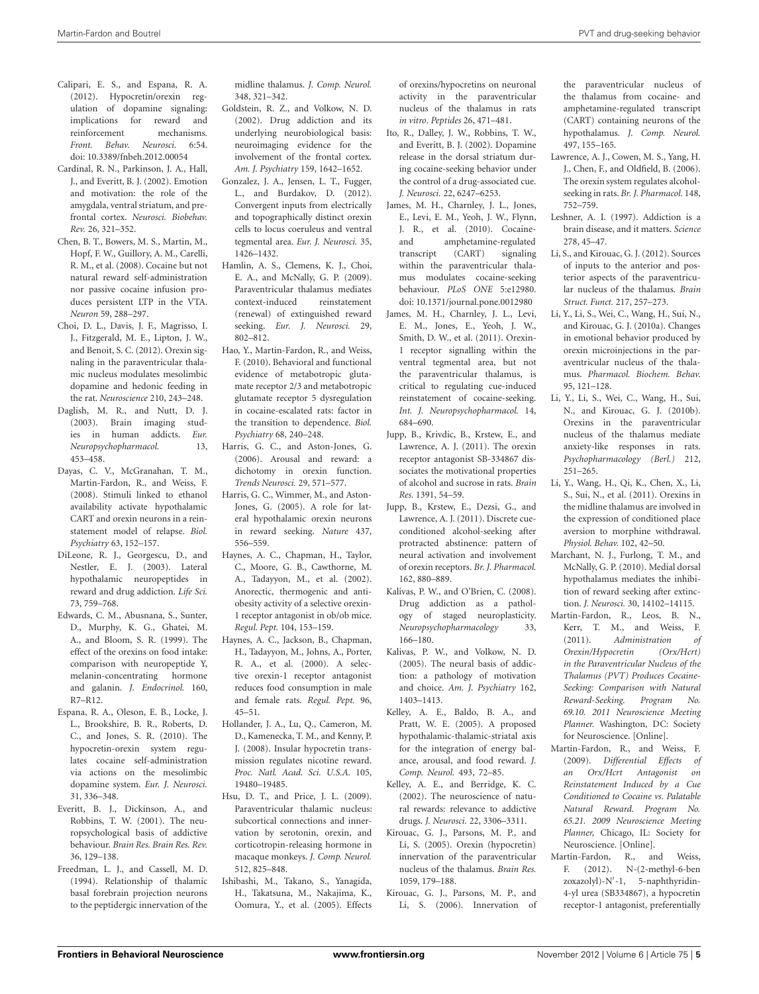- <span id="page-4-15"></span>Calipari, E. S., and Espana, R. A. (2012). Hypocretin/orexin regulation of dopamine signaling: implications for reward and reinforcement mechanisms. *Front. Behav. Neurosci.* 6:54. doi: 10.3389/fnbeh.2012.00054
- <span id="page-4-4"></span>Cardinal, R. N., Parkinson, J. A., Hall, J., and Everitt, B. J. (2002). Emotion and motivation: the role of the amygdala, ventral striatum, and prefrontal cortex. *Neurosci. Biobehav. Rev.* 26, 321–352.
- <span id="page-4-24"></span>Chen, B. T., Bowers, M. S., Martin, M., Hopf, F. W., Guillory, A. M., Carelli, R. M., et al. (2008). Cocaine but not natural reward self-administration nor passive cocaine infusion produces persistent LTP in the VTA. *Neuron* 59, 288–297.
- <span id="page-4-30"></span>Choi, D. L., Davis, J. F., Magrisso, I. J., Fitzgerald, M. E., Lipton, J. W., and Benoit, S. C. (2012). Orexin signaling in the paraventricular thalamic nucleus modulates mesolimbic dopamine and hedonic feeding in the rat. *Neuroscience* 210, 243–248.
- <span id="page-4-2"></span>Daglish, M. R., and Nutt, D. J. (2003). Brain imaging studies in human addicts. *Eur. Neuropsychopharmacol.* 13, 453–458.
- <span id="page-4-14"></span>Dayas, C. V., McGranahan, T. M., Martin-Fardon, R., and Weiss, F. (2008). Stimuli linked to ethanol availability activate hypothalamic CART and orexin neurons in a reinstatement model of relapse. *Biol. Psychiatry* 63, 152–157.
- <span id="page-4-12"></span>DiLeone, R. J., Georgescu, D., and Nestler, E. J. (2003). Lateral hypothalamic neuropeptides in reward and drug addiction. *Life Sci.* 73, 759–768.
- <span id="page-4-9"></span>Edwards, C. M., Abusnana, S., Sunter, D., Murphy, K. G., Ghatei, M. A., and Bloom, S. R. (1999). The effect of the orexins on food intake: comparison with neuropeptide Y, melanin-concentrating hormone and galanin. *J. Endocrinol.* 160, R7–R12.
- <span id="page-4-19"></span>Espana, R. A., Oleson, E. B., Locke, J. L., Brookshire, B. R., Roberts, D. C., and Jones, S. R. (2010). The hypocretin-orexin system regulates cocaine self-administration via actions on the mesolimbic dopamine system. *Eur. J. Neurosci.* 31, 336–348.
- <span id="page-4-3"></span>Everitt, B. J., Dickinson, A., and Robbins, T. W. (2001). The neuropsychological basis of addictive behaviour. *Brain Res. Brain Res. Rev.* 36, 129–138.
- <span id="page-4-25"></span>Freedman, L. J., and Cassell, M. D. (1994). Relationship of thalamic basal forebrain projection neurons to the peptidergic innervation of the

midline thalamus. *J. Comp. Neurol.* 348, 321–342.

- <span id="page-4-1"></span>Goldstein, R. Z., and Volkow, N. D. (2002). Drug addiction and its underlying neurobiological basis: neuroimaging evidence for the involvement of the frontal cortex. *Am. J. Psychiatry* 159, 1642–1652.
- <span id="page-4-16"></span>Gonzalez, J. A., Jensen, L. T., Fugger, L., and Burdakov, D. (2012). Convergent inputs from electrically and topographically distinct orexin cells to locus coeruleus and ventral tegmental area. *Eur. J. Neurosci.* 35, 1426–1432.
- <span id="page-4-36"></span>Hamlin, A. S., Clemens, K. J., Choi, E. A., and McNally, G. P. (2009). Paraventricular thalamus mediates context-induced reinstatement (renewal) of extinguished reward seeking. *Eur. J. Neurosci.* 29, 802–812.
- <span id="page-4-41"></span>Hao, Y., Martin-Fardon, R., and Weiss, F. (2010). Behavioral and functional evidence of metabotropic glutamate receptor 2/3 and metabotropic glutamate receptor 5 dysregulation in cocaine-escalated rats: factor in the transition to dependence. *Biol. Psychiatry* 68, 240–248.
- <span id="page-4-13"></span>Harris, G. C., and Aston-Jones, G. (2006). Arousal and reward: a dichotomy in orexin function. *Trends Neurosci.* 29, 571–577.
- <span id="page-4-17"></span>Harris, G. C., Wimmer, M., and Aston-Jones, G. (2005). A role for lateral hypothalamic orexin neurons in reward seeking. *Nature* 437, 556–559.
- <span id="page-4-11"></span>Haynes, A. C., Chapman, H., Taylor, C., Moore, G. B., Cawthorne, M. A., Tadayyon, M., et al. (2002). Anorectic, thermogenic and antiobesity activity of a selective orexin-1 receptor antagonist in ob/ob mice. *Regul. Pept.* 104, 153–159.
- <span id="page-4-10"></span>Haynes, A. C., Jackson, B., Chapman, H., Tadayyon, M., Johns, A., Porter, R. A., et al. (2000). A selective orexin-1 receptor antagonist reduces food consumption in male and female rats. *Regul. Pept.* 96, 45–51.
- <span id="page-4-21"></span>Hollander, J. A., Lu, Q., Cameron, M. D., Kamenecka, T. M., and Kenny, P. J. (2008). Insular hypocretin transmission regulates nicotine reward. *Proc. Natl. Acad. Sci. U.S.A.* 105, 19480–19485.
- <span id="page-4-31"></span>Hsu, D. T., and Price, J. L. (2009). Paraventricular thalamic nucleus: subcortical connections and innervation by serotonin, orexin, and corticotropin-releasing hormone in macaque monkeys. *J. Comp. Neurol.* 512, 825–848.
- <span id="page-4-28"></span>Ishibashi, M., Takano, S., Yanagida, H., Takatsuna, M., Nakajima, K., Oomura, Y., et al. (2005). Effects

of orexins/hypocretins on neuronal activity in the paraventricular nucleus of the thalamus in rats *in vitro*. *Peptides* 26, 471–481.

- <span id="page-4-5"></span>Ito, R., Dalley, J. W., Robbins, T. W., and Everitt, B. J. (2002). Dopamine release in the dorsal striatum during cocaine-seeking behavior under the control of a drug-associated cue. *J. Neurosci.* 22, 6247–6253.
- <span id="page-4-39"></span>James, M. H., Charnley, J. L., Jones, E., Levi, E. M., Yeoh, J. W., Flynn, J. R., et al. (2010). Cocaineand amphetamine-regulated transcript (CART) signaling within the paraventricular thalamus modulates cocaine-seeking behaviour. *PLoS ONE* 5:e12980. doi: 10.1371/journal.pone.0012980
- <span id="page-4-40"></span>James, M. H., Charnley, J. L., Levi, E. M., Jones, E., Yeoh, J. W., Smith, D. W., et al. (2011). Orexin-1 receptor signalling within the ventral tegmental area, but not the paraventricular thalamus, is critical to regulating cue-induced reinstatement of cocaine-seeking. *Int. J. Neuropsychopharmacol.* 14, 684–690.
- <span id="page-4-18"></span>Jupp, B., Krivdic, B., Krstew, E., and Lawrence, A. J. (2011). The orexin receptor antagonist SB-334867 dissociates the motivational properties of alcohol and sucrose in rats. *Brain Res.* 1391, 54–59.
- Jupp, B., Krstew, E., Dezsi, G., and Lawrence, A. J. (2011). Discrete cueconditioned alcohol-seeking after protracted abstinence: pattern of neural activation and involvement of orexin receptors. *Br. J. Pharmacol.* 162, 880–889.
- <span id="page-4-8"></span>Kalivas, P. W., and O'Brien, C. (2008). Drug addiction as a pathology of staged neuroplasticity. *Neuropsychopharmacology* 33, 166–180.
- <span id="page-4-6"></span>Kalivas, P. W., and Volkow, N. D. (2005). The neural basis of addiction: a pathology of motivation and choice. *Am. J. Psychiatry* 162, 1403–1413.
- <span id="page-4-29"></span>Kelley, A. E., Baldo, B. A., and Pratt, W. E. (2005). A proposed hypothalamic-thalamic-striatal axis for the integration of energy balance, arousal, and food reward. *J. Comp. Neurol.* 493, 72–85.
- <span id="page-4-7"></span>Kelley, A. E., and Berridge, K. C. (2002). The neuroscience of natural rewards: relevance to addictive drugs. *J. Neurosci.* 22, 3306–3311.
- <span id="page-4-26"></span>Kirouac, G. J., Parsons, M. P., and Li, S. (2005). Orexin (hypocretin) innervation of the paraventricular nucleus of the thalamus. *Brain Res.* 1059, 179–188.
- <span id="page-4-27"></span>Kirouac, G. J., Parsons, M. P., and Li, S. (2006). Innervation of

the paraventricular nucleus of the thalamus from cocaine- and amphetamine-regulated transcript (CART) containing neurons of the hypothalamus. *J. Comp. Neurol.* 497, 155–165.

- <span id="page-4-20"></span>Lawrence, A. J., Cowen, M. S., Yang, H. J., Chen, F., and Oldfield, B. (2006). The orexin system regulates alcoholseeking in rats. *Br. J. Pharmacol.* 148, 752–759.
- <span id="page-4-0"></span>Leshner, A. I. (1997). Addiction is a brain disease, and it matters. *Science* 278, 45–47.
- <span id="page-4-32"></span>Li, S., and Kirouac, G. J. (2012). Sources of inputs to the anterior and posterior aspects of the paraventricular nucleus of the thalamus. *Brain Struct. Funct.* 217, 257–273.
- <span id="page-4-33"></span>Li, Y., Li, S., Wei, C., Wang, H., Sui, N., and Kirouac, G. J. (2010a). Changes in emotional behavior produced by orexin microinjections in the paraventricular nucleus of the thalamus. *Pharmacol. Biochem. Behav.* 95, 121–128.
- <span id="page-4-34"></span>Li, Y., Li, S., Wei, C., Wang, H., Sui, N., and Kirouac, G. J. (2010b). Orexins in the paraventricular nucleus of the thalamus mediate anxiety-like responses in rats. *Psychopharmacology (Berl.)* 212, 251–265.
- <span id="page-4-35"></span>Li, Y., Wang, H., Qi, K., Chen, X., Li, S., Sui, N., et al. (2011). Orexins in the midline thalamus are involved in the expression of conditioned place aversion to morphine withdrawal. *Physiol. Behav.* 102, 42–50.
- <span id="page-4-37"></span>Marchant, N. J., Furlong, T. M., and McNally, G. P. (2010). Medial dorsal hypothalamus mediates the inhibition of reward seeking after extinction. *J. Neurosci.* 30, 14102–14115.
- <span id="page-4-38"></span>Martin-Fardon, R., Leos, B. N., Kerr, T. M., and Weiss, F. (2011). *Administration of Orexin/Hypocretin (Orx/Hcrt) in the Paraventricular Nucleus of the Thalamus (PVT) Produces Cocaine-Seeking: Comparison with Natural Reward-Seeking. Program No. 69.10. 2011 Neuroscience Meeting Planner.* Washington, DC: Society for Neuroscience. [Online]*.*
- <span id="page-4-22"></span>Martin-Fardon, R., and Weiss, F. (2009). *Differential Effects of an Orx/Hcrt Antagonist on Reinstatement Induced by a Cue Conditioned to Cocaine vs. Palatable Natural Reward. Program No. 65.21. 2009 Neuroscience Meeting Planner,* Chicago, IL: Society for Neuroscience. [Online].
- <span id="page-4-23"></span>Martin-Fardon, R., and Weiss,<br>F. (2012). N-(2-methyl-6-ben N-(2-methyl-6-ben zoxazolyl)-N'-1, 5-naphthyridin-4-yl urea (SB334867), a hypocretin receptor-1 antagonist, preferentially